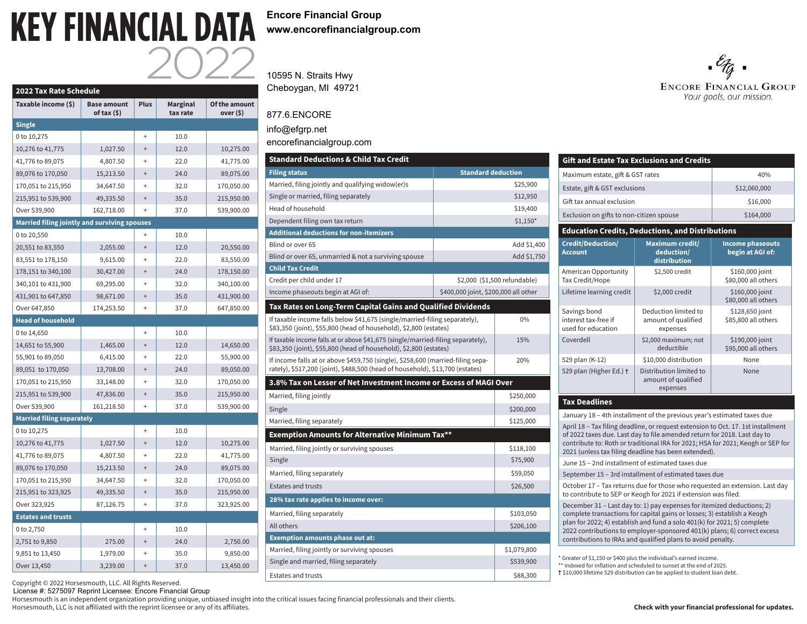## **KEY FINANCIAL DATA** 2022

| 2022 Tax Rate Schedule                       |                                    |             |                      |                            |
|----------------------------------------------|------------------------------------|-------------|----------------------|----------------------------|
| Taxable income (\$)                          | <b>Base amount</b><br>of tax $(5)$ | <b>Plus</b> | Marginal<br>tax rate | Of the amount<br>over (\$) |
| <b>Single</b>                                |                                    |             |                      |                            |
| 0 to 10,275                                  |                                    | $\ddot{}$   | 10.0                 |                            |
| 10,276 to 41,775                             | 1,027.50                           | $^{+}$      | 12.0                 | 10,275.00                  |
| 41,776 to 89,075                             | 4,807.50                           | $^{+}$      | 22.0                 | 41,775.00                  |
| 89,076 to 170,050                            | 15,213.50                          | $+$         | 24.0                 | 89,075.00                  |
| 170,051 to 215,950                           | 34,647.50                          | $+$         | 32.0                 | 170,050.00                 |
| 215,951 to 539,900                           | 49,335.50                          | $^{+}$      | 35.0                 | 215,950.00                 |
| Over 539,900                                 | 162,718.00                         | $\ddot{}$   | 37.0                 | 539,900.00                 |
| Married filing jointly and surviving spouses |                                    |             |                      |                            |
| 0 to 20,550                                  |                                    |             | 10.0                 |                            |
| 20,551 to 83,550                             | 2,055.00                           | $^{+}$      | 12.0                 | 20,550.00                  |
| 83,551 to 178,150                            | 9,615.00                           | $^{+}$      | 22.0                 | 83,550.00                  |
| 178,151 to 340,100                           | 30,427.00                          | $+$         | 24.0                 | 178,150.00                 |
| 340,101 to 431,900                           | 69,295.00                          | $\ddot{}$   | 32.0                 | 340,100.00                 |
| 431,901 to 647,850                           | 98,671.00                          | $^{+}$      | 35.0                 | 431,900.00                 |
| Over 647,850                                 | 174,253.50                         | $\ddot{}$   | 37.0                 | 647,850.00                 |
| <b>Head of household</b>                     |                                    |             |                      |                            |
| 0 to 14,650                                  |                                    | $^{+}$      | 10.0                 |                            |
| 14,651 to 55,900                             | 1,465.00                           | $^{+}$      | 12.0                 | 14,650.00                  |
| 55,901 to 89,050                             | 6,415.00                           | $+$         | 22.0                 | 55,900.00                  |
| 89,051 to 170,050                            | 13,708.00                          | $^{+}$      | 24.0                 | 89,050.00                  |
| 170,051 to 215,950                           | 33,148.00                          | $^{+}$      | 32.0                 | 170,050.00                 |
| 215,951 to 539,900                           | 47,836.00                          | $^{+}$      | 35.0                 | 215,950.00                 |
| Over 539,900                                 | 161,218.50                         | $^{+}$      | 37.0                 | 539,900.00                 |
| <b>Married filing separately</b>             |                                    |             |                      |                            |
| 0 to 10,275                                  |                                    | $\ddot{}$   | 10.0                 |                            |
| 10,276 to 41,775                             | 1,027.50                           | $+$         | 12.0                 | 10,275.00                  |
| 41,776 to 89,075                             | 4,807.50                           | $^{+}$      | 22.0                 | 41,775.00                  |
| 89,076 to 170,050                            | 15,213.50                          | $^{+}$      | 24.0                 | 89,075.00                  |
| 170,051 to 215,950                           | 34,647.50                          | $\ddot{}$   | 32.0                 | 170,050.00                 |
| 215,951 to 323,925                           | 49,335.50                          | $^{+}$      | 35.0                 | 215,950.00                 |
| Over 323,925                                 | 87,126.75                          | $\ddot{}$   | 37.0                 | 323,925.00                 |
| <b>Estates and trusts</b>                    |                                    |             |                      |                            |
| 0 to 2,750                                   |                                    | $+$         | 10.0                 |                            |
| 2,751 to 9,850                               | 275.00                             | $^{+}$      | 24.0                 | 2,750.00                   |
| 9,851 to 13,450                              | 1,979.00                           | $\ddot{}$   | 35.0                 | 9,850.00                   |
| Over 13,450                                  | 3,239.00                           | $\ddot{}$   | 37.0                 | 13,450.00                  |

**Encore Financial Group www.encorefinancialgroup.com**

10595 N. Straits Hwy Cheboygan, MI 49721

## 877.6.ENCORE

info@efgrp.net

encorefinancialgroup.com

| <b>Standard Deductions &amp; Child Tax Credit</b>                                                                                                                |                                      |                              |  |  |
|------------------------------------------------------------------------------------------------------------------------------------------------------------------|--------------------------------------|------------------------------|--|--|
| <b>Filing status</b>                                                                                                                                             | <b>Standard deduction</b>            |                              |  |  |
| Married, filing jointly and qualifying widow(er)s                                                                                                                |                                      | \$25,900                     |  |  |
| Single or married, filing separately                                                                                                                             |                                      | \$12,950                     |  |  |
| Head of household                                                                                                                                                |                                      | \$19,400                     |  |  |
| Dependent filing own tax return                                                                                                                                  |                                      | $$1,150*$                    |  |  |
| <b>Additional deductions for non-itemizers</b>                                                                                                                   |                                      |                              |  |  |
| Blind or over 65                                                                                                                                                 |                                      | Add \$1,400                  |  |  |
| Blind or over 65, unmarried & not a surviving spouse                                                                                                             |                                      | Add \$1,750                  |  |  |
| <b>Child Tax Credit</b>                                                                                                                                          |                                      |                              |  |  |
| Credit per child under 17                                                                                                                                        |                                      | \$2,000 (\$1,500 refundable) |  |  |
| Income phaseouts begin at AGI of:                                                                                                                                | \$400,000 joint, \$200,000 all other |                              |  |  |
| Tax Rates on Long-Term Capital Gains and Qualified Dividends                                                                                                     |                                      |                              |  |  |
| If taxable income falls below \$41,675 (single/married-filing separately),<br>\$83,350 (joint), \$55,800 (head of household), \$2,800 (estates)                  | 0%                                   |                              |  |  |
| If taxable income falls at or above \$41,675 (single/married-filing separately),<br>\$83,350 (joint), \$55,800 (head of household), \$2,800 (estates)            | 15%                                  |                              |  |  |
| If income falls at or above \$459,750 (single), \$258,600 (married-filing sepa-<br>rately), \$517,200 (joint), \$488,500 (head of household), \$13,700 (estates) | 20%                                  |                              |  |  |
| 3.8% Tax on Lesser of Net Investment Income or Excess of MAGI Over                                                                                               |                                      |                              |  |  |
| Married, filing jointly                                                                                                                                          |                                      | \$250,000                    |  |  |
| Single                                                                                                                                                           | \$200,000                            |                              |  |  |
| Married, filing separately                                                                                                                                       | \$125,000                            |                              |  |  |
| <b>Exemption Amounts for Alternative Minimum Tax**</b>                                                                                                           |                                      |                              |  |  |
| Married, filing jointly or surviving spouses                                                                                                                     |                                      | \$118,100                    |  |  |
| Single                                                                                                                                                           |                                      | \$75,900                     |  |  |
| Married, filing separately                                                                                                                                       | \$59,050                             |                              |  |  |
| <b>Estates and trusts</b>                                                                                                                                        | \$26,500                             |                              |  |  |
| 28% tax rate applies to income over:                                                                                                                             |                                      |                              |  |  |
| Married, filing separately                                                                                                                                       |                                      | \$103,050                    |  |  |
| All others                                                                                                                                                       | \$206,100                            |                              |  |  |
| <b>Exemption amounts phase out at:</b>                                                                                                                           |                                      |                              |  |  |
| Married, filing jointly or surviving spouses                                                                                                                     | \$1,079,800                          |                              |  |  |
| Single and married, filing separately                                                                                                                            | \$539,900                            |                              |  |  |
| <b>Estates and trusts</b>                                                                                                                                        | \$88,300                             |                              |  |  |



|                                                            | <b>Gift and Estate Tax Exclusions and Credits</b>                                                                                                                                                                                                                                                       |                                             |
|------------------------------------------------------------|---------------------------------------------------------------------------------------------------------------------------------------------------------------------------------------------------------------------------------------------------------------------------------------------------------|---------------------------------------------|
| Maximum estate, gift & GST rates                           |                                                                                                                                                                                                                                                                                                         | 40%                                         |
| Estate, gift & GST exclusions                              |                                                                                                                                                                                                                                                                                                         | \$12,060,000                                |
| Gift tax annual exclusion                                  |                                                                                                                                                                                                                                                                                                         | \$16,000                                    |
| Exclusion on gifts to non-citizen spouse                   |                                                                                                                                                                                                                                                                                                         | \$164,000                                   |
|                                                            | <b>Education Credits, Deductions, and Distributions</b>                                                                                                                                                                                                                                                 |                                             |
| Credit/Deduction/<br><b>Account</b>                        | Maximum credit/<br>deduction/<br>distribution                                                                                                                                                                                                                                                           | <b>Income phaseouts</b><br>begin at AGI of: |
| American Opportunity<br>Tax Credit/Hope                    | \$2,500 credit                                                                                                                                                                                                                                                                                          | \$160,000 joint<br>\$80,000 all others      |
| Lifetime learning credit                                   | \$2,000 credit                                                                                                                                                                                                                                                                                          | \$160,000 joint<br>\$80,000 all others      |
| Savings bond<br>interest tax-free if<br>used for education | Deduction limited to<br>amount of qualified<br>expenses                                                                                                                                                                                                                                                 | \$128,650 joint<br>\$85,800 all others      |
| Coverdell                                                  | \$2,000 maximum; not<br>deductible                                                                                                                                                                                                                                                                      | \$190,000 joint<br>\$95,000 all others      |
| 529 plan (K-12)                                            | \$10,000 distribution                                                                                                                                                                                                                                                                                   | None                                        |
| 529 plan (Higher Ed.) t                                    | Distribution limited to<br>amount of qualified<br>expenses                                                                                                                                                                                                                                              | None                                        |
| <b>Tax Deadlines</b>                                       |                                                                                                                                                                                                                                                                                                         |                                             |
|                                                            | January 18 - 4th installment of the previous year's estimated taxes due                                                                                                                                                                                                                                 |                                             |
|                                                            | April 18 - Tax filing deadline, or request extension to Oct. 17. 1st installment<br>of 2022 taxes due. Last day to file amended return for 2018. Last day to<br>contribute to: Roth or traditional IRA for 2021; HSA for 2021; Keogh or SEP for<br>2021 (unless tax filing deadline has been extended). |                                             |
|                                                            | June 15 - 2nd installment of estimated taxes due                                                                                                                                                                                                                                                        |                                             |
|                                                            | September 15 - 3rd installment of estimated taxes due                                                                                                                                                                                                                                                   |                                             |

October 17 – Tax returns due for those who requested an extension. Last day to contribute to SEP or Keogh for 2021 if extension was filed.

December 31 – Last day to: 1) pay expenses for itemized deductions; 2) complete transactions for capital gains or losses; 3) establish a Keogh plan for 2022; 4) establish and fund a solo 401(k) for 2021; 5) complete 2022 contributions to employer-sponsored 401(k) plans; 6) correct excess contributions to IRAs and qualified plans to avoid penalty.

\* Greater of \$1,150 or \$400 plus the individual's earned income.

\*\* Indexed for inflation and scheduled to sunset at the end of 2025.

**†** \$10,000 lifetime 529 distribution can be applied to student loan debt.

Copyright © 2022 Horsesmouth, LLC. All Rights Reserved.

License #: 5275097 Reprint Licensee: Encore Financial Group

Horsesmouth is an independent organization providing unique, unbiased insight into the critical issues facing financial professionals and their clients. Horsesmouth, LLC is not affiliated with the reprint licensee or any of its affiliates. **Check with your financial professional for updates. Check with your financial professional for updates.**